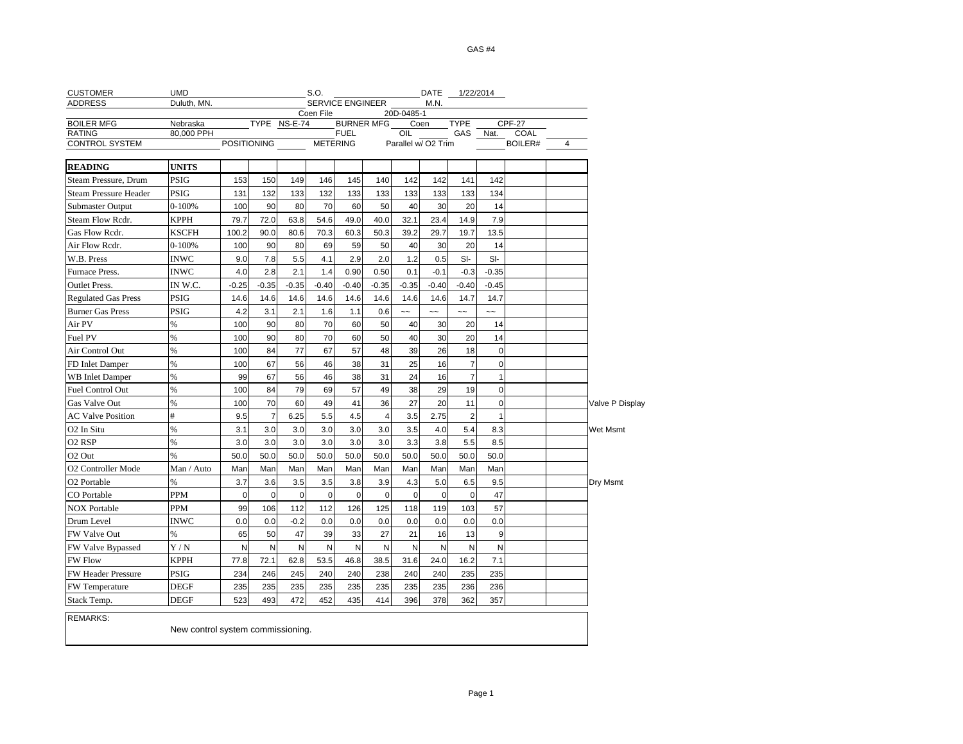| <b>CUSTOMER</b>              | <b>UMD</b>                        |                    |                |              | S.O.        |                   |                |               | DATE                     |                | 1/22/2014    |          |   |                 |
|------------------------------|-----------------------------------|--------------------|----------------|--------------|-------------|-------------------|----------------|---------------|--------------------------|----------------|--------------|----------|---|-----------------|
| <b>ADDRESS</b>               | Duluth, MN.                       |                    |                |              |             | SERVICE ENGINEER  |                |               | M.N.                     |                |              |          |   |                 |
| <b>BOILER MFG</b>            | Nebraska                          |                    |                | TYPE NS-E-74 | Coen File   | <b>BURNER MFG</b> |                | 20D-0485-1    | Coen                     | <b>TYPE</b>    |              | $CPF-27$ |   |                 |
| <b>RATING</b>                | 80,000 PPH                        |                    |                |              |             | <b>FUEL</b>       |                | OIL           |                          | GAS            | Nat.         | COAL     |   |                 |
| <b>CONTROL SYSTEM</b>        |                                   | <b>POSITIONING</b> |                |              |             | <b>METERING</b>   |                |               | Parallel w/ O2 Trim      |                |              | BOILER#  | 4 |                 |
| <b>READING</b>               | <b>UNITS</b>                      |                    |                |              |             |                   |                |               |                          |                |              |          |   |                 |
| Steam Pressure, Drum         | <b>PSIG</b>                       | 153                | 150            | 149          | 146         | 145               | 140            | 142           | 142                      | 141            | 142          |          |   |                 |
| <b>Steam Pressure Header</b> | PSIG                              | 131                | 132            | 133          | 132         | 133               | 133            | 133           | 133                      | 133            | 134          |          |   |                 |
| <b>Submaster Output</b>      | $0 - 100%$                        | 100                | 90             | 80           | 70          | 60                | 50             | 40            | 30                       | 20             | 14           |          |   |                 |
| Steam Flow Rcdr.             | <b>KPPH</b>                       | 79.7               | 72.0           | 63.8         | 54.6        | 49.0              | 40.0           | 32.1          | 23.4                     | 14.9           | 7.9          |          |   |                 |
| Gas Flow Redr.               | KSCFH                             | 100.2              | 90.0           | 80.6         | 70.3        | 60.3              | 50.3           | 39.2          | 29.7                     | 19.7           | 13.5         |          |   |                 |
| Air Flow Redr.               | $0 - 100%$                        | 100                | 90             | 80           | 69          | 59                | 50             | 40            | 30                       | 20             | 14           |          |   |                 |
| W.B. Press                   | <b>INWC</b>                       | 9.0                | 7.8            | 5.5          | 4.1         | 2.9               | 2.0            | 1.2           | 0.5                      | $SI-$          | $SI-$        |          |   |                 |
| Furnace Press.               | <b>INWC</b>                       | 4.0                | 2.8            | 2.1          | 1.4         | 0.90              | 0.50           | 0.1           | $-0.1$                   | $-0.3$         | $-0.35$      |          |   |                 |
| <b>Outlet Press.</b>         | IN W.C.                           | $-0.25$            | $-0.35$        | $-0.35$      | $-0.40$     | $-0.40$           | $-0.35$        | $-0.35$       | $-0.40$                  | $-0.40$        | $-0.45$      |          |   |                 |
| <b>Regulated Gas Press</b>   | PSIG                              | 14.6               | 14.6           | 14.6         | 14.6        | 14.6              | 14.6           | 14.6          | 14.6                     | 14.7           | 14.7         |          |   |                 |
| <b>Burner Gas Press</b>      | PSIG                              | 4.2                | 3.1            | 2.1          | 1.6         | 1.1               | 0.6            | $\sim$ $\sim$ | $\overline{\phantom{a}}$ | $\sim$ $\sim$  | $\sim$       |          |   |                 |
| Air PV                       | %                                 | 100                | 90             | 80           | 70          | 60                | 50             | 40            | 30                       | 20             | 14           |          |   |                 |
| Fuel PV                      | %                                 | 100                | 90             | 80           | 70          | 60                | 50             | 40            | 30                       | 20             | 14           |          |   |                 |
| Air Control Out              | $\frac{9}{6}$                     | 100                | 84             | 77           | 67          | 57                | 48             | 39            | 26                       | 18             | $\mathbf 0$  |          |   |                 |
| FD Inlet Damper              | %                                 | 100                | 67             | 56           | 46          | 38                | 31             | 25            | 16                       | $\overline{7}$ | $\mathbf 0$  |          |   |                 |
| <b>WB</b> Inlet Damper       | %                                 | 99                 | 67             | 56           | 46          | 38                | 31             | 24            | 16                       | $\overline{7}$ | $\mathbf{1}$ |          |   |                 |
| Fuel Control Out             | %                                 | 100                | 84             | 79           | 69          | 57                | 49             | 38            | 29                       | 19             | $\mathbf 0$  |          |   |                 |
| Gas Valve Out                | %                                 | 100                | 70             | 60           | 49          | 41                | 36             | 27            | 20                       | 11             | $\mathbf 0$  |          |   | Valve P Display |
| <b>AC Valve Position</b>     | #                                 | 9.5                | $\overline{7}$ | 6.25         | 5.5         | 4.5               | $\overline{4}$ | 3.5           | 2.75                     | $\overline{2}$ | $\mathbf{1}$ |          |   |                 |
| O <sub>2</sub> In Situ       | %                                 | 3.1                | 3.0            | 3.0          | 3.0         | 3.0               | 3.0            | 3.5           | 4.0                      | 5.4            | 8.3          |          |   | Wet Msmt        |
| O <sub>2</sub> RSP           | %                                 | 3.0                | 3.0            | 3.0          | 3.0         | 3.0               | 3.0            | 3.3           | 3.8                      | 5.5            | 8.5          |          |   |                 |
| O <sub>2</sub> Out           | %                                 | 50.0               | 50.0           | 50.0         | 50.0        | 50.0              | 50.0           | 50.0          | 50.0                     | 50.0           | 50.0         |          |   |                 |
| O2 Controller Mode           | Man / Auto                        | Man                | Man            | Man          | Man         | Man               | Man            | Man           | Man                      | Man            | Man          |          |   |                 |
| O <sub>2</sub> Portable      | %                                 | 3.7                | 3.6            | 3.5          | 3.5         | 3.8               | 3.9            | 4.3           | 5.0                      | 6.5            | 9.5          |          |   | Dry Msmt        |
| CO Portable                  | PPM                               | $\mathbf 0$        | $\mathbf 0$    | 0            | $\mathbf 0$ | $\mathbf 0$       | 0              | $\pmb{0}$     | $\mathbf 0$              | 0              | 47           |          |   |                 |
| <b>NOX Portable</b>          | PPM                               | 99                 | 106            | 112          | 112         | 126               | 125            | 118           | 119                      | 103            | 57           |          |   |                 |
| Drum Level                   | INWC                              | 0.0                | 0.0            | $-0.2$       | 0.0         | 0.0               | 0.0            | 0.0           | 0.0                      | 0.0            | 0.0          |          |   |                 |
| FW Valve Out                 | %                                 | 65                 | 50             | 47           | 39          | 33                | 27             | 21            | 16                       | 13             | 9            |          |   |                 |
| FW Valve Bypassed            | Y / N                             | N                  | N              | N            | N           | N                 | N              | N             | N                        | N              | Ν            |          |   |                 |
| <b>FW Flow</b>               | KPPH                              | 77.8               | 72.1           | 62.8         | 53.5        | 46.8              | 38.5           | 31.6          | 24.0                     | 16.2           | 7.1          |          |   |                 |
| <b>FW Header Pressure</b>    | PSIG                              | 234                | 246            | 245          | 240         | 240               | 238            | 240           | 240                      | 235            | 235          |          |   |                 |
| FW Temperature               | DEGF                              | 235                | 235            | 235          | 235         | 235               | 235            | 235           | 235                      | 236            | 236          |          |   |                 |
| Stack Temp.                  | <b>DEGF</b>                       | 523                | 493            | 472          | 452         | 435               | 414            | 396           | 378                      | 362            | 357          |          |   |                 |
| <b>REMARKS:</b>              | New control system commissioning. |                    |                |              |             |                   |                |               |                          |                |              |          |   |                 |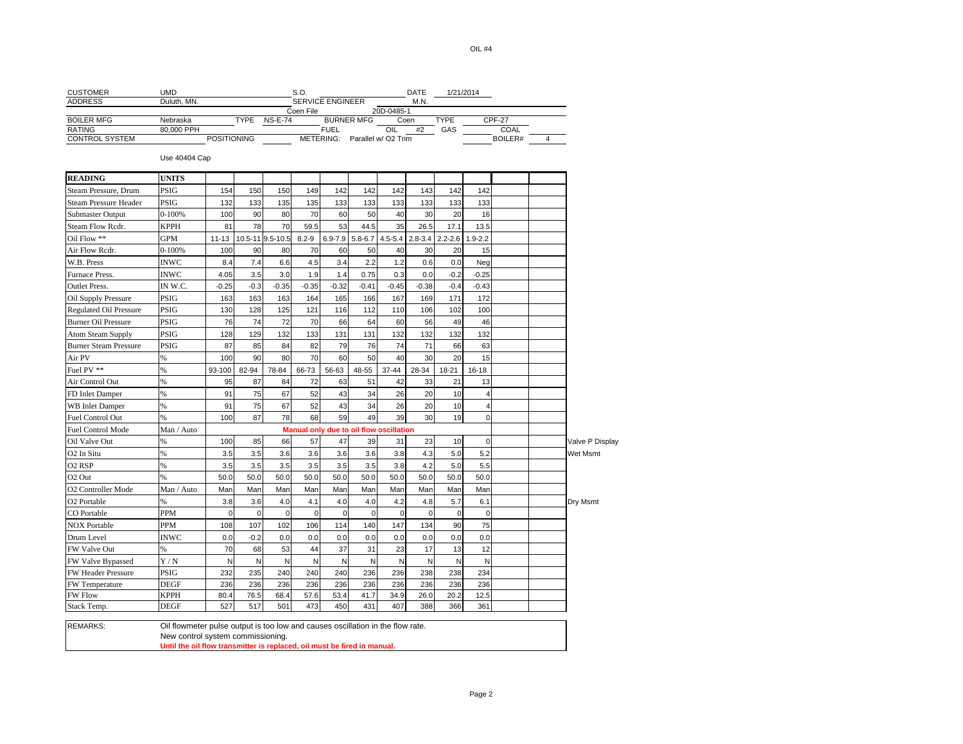| <b>CUSTOMER</b>               | <b>UMD</b>                                                                                                          |                    |             |                  | S.O.        |                         |                                         |             | DATE        |             | 1/21/2014      |               |                |                 |
|-------------------------------|---------------------------------------------------------------------------------------------------------------------|--------------------|-------------|------------------|-------------|-------------------------|-----------------------------------------|-------------|-------------|-------------|----------------|---------------|----------------|-----------------|
| <b>ADDRESS</b>                | Duluth, MN.                                                                                                         |                    |             |                  |             | <b>SERVICE ENGINEER</b> |                                         |             | M.N.        |             |                |               |                |                 |
| <b>BOILER MFG</b>             | Nebraska                                                                                                            |                    | <b>TYPE</b> | <b>NS-E-74</b>   | Coen File   |                         | <b>BURNER MFG</b>                       | 20D-0485-1  | Coen        | <b>TYPE</b> |                | <b>CPF-27</b> |                |                 |
| <b>RATING</b>                 | 80,000 PPH                                                                                                          |                    |             |                  |             | <b>FUEL</b>             |                                         | OIL         | #2          | GAS         |                | COAL          |                |                 |
| <b>CONTROL SYSTEM</b>         |                                                                                                                     | <b>POSITIONING</b> |             |                  |             |                         | METERING: Parallel w/ O2 Trim           |             |             |             |                | BOILER#       | $\overline{4}$ |                 |
|                               | Use 40404 Cap                                                                                                       |                    |             |                  |             |                         |                                         |             |             |             |                |               |                |                 |
| <b>READING</b>                | <b>UNITS</b>                                                                                                        |                    |             |                  |             |                         |                                         |             |             |             |                |               |                |                 |
| Steam Pressure, Drum          | PSIG                                                                                                                | 154                | 150         | 150              | 149         | 142                     | 142                                     | 142         | 143         | 142         | 142            |               |                |                 |
| <b>Steam Pressure Header</b>  | PSIG                                                                                                                | 132                | 133         | 135              | 135         | 133                     | 133                                     | 133         | 133         | 133         | 133            |               |                |                 |
| Submaster Output              | $0 - 100%$                                                                                                          | 100                | 90          | 80               | 70          | 60                      | 50                                      | 40          | 30          | 20          | 16             |               |                |                 |
| Steam Flow Rcdr.              | <b>KPPH</b>                                                                                                         | 81                 | 78          | 70               | 59.5        | 53                      | 44.5                                    | 35          | 26.5        | 17.1        | 13.5           |               |                |                 |
| Oil Flow **                   | GPM                                                                                                                 | $11 - 13$          |             | 10.5-11 9.5-10.5 | $8.2 - 9$   | $6.9 - 7.9$             | $5.8 - 6.7$                             | $4.5 - 5.4$ | $2.8 - 3.4$ | $2.2 - 2.6$ | $1.9 - 2.2$    |               |                |                 |
| Air Flow Redr.                | $0 - 100%$                                                                                                          | 100                | 90          | 80               | 70          | 60                      | 50                                      | 40          | 30          | 20          | 15             |               |                |                 |
| W.B. Press                    | <b>INWC</b>                                                                                                         | 8.4                | 7.4         | 6.6              | 4.5         | 3.4                     | 2.2                                     | 1.2         | 0.6         | 0.0         | Neg            |               |                |                 |
| Furnace Press.                | <b>INWC</b>                                                                                                         | 4.05               | 3.5         | 3.0              | 1.9         | 1.4                     | 0.75                                    | 0.3         | 0.0         | $-0.2$      | $-0.25$        |               |                |                 |
| <b>Outlet Press.</b>          | IN W.C.                                                                                                             | $-0.25$            | $-0.3$      | $-0.35$          | $-0.35$     | $-0.32$                 | $-0.41$                                 | $-0.45$     | $-0.38$     | $-0.4$      | $-0.43$        |               |                |                 |
| Oil Supply Pressure           | PSIG                                                                                                                | 163                | 163         | 163              | 164         | 165                     | 166                                     | 167         | 169         | 171         | 172            |               |                |                 |
| <b>Regulated Oil Pressure</b> | PSIG                                                                                                                | 130                | 128         | 125              | 121         | 116                     | 112                                     | 110         | 106         | 102         | 100            |               |                |                 |
| <b>Burner Oil Pressure</b>    | <b>PSIG</b>                                                                                                         | 76                 | 74          | 72               | 70          | 66                      | 64                                      | 60          | 56          | 49          | 46             |               |                |                 |
| <b>Atom Steam Supply</b>      | <b>PSIG</b>                                                                                                         | 128                | 129         | 132              | 133         | 131                     | 131                                     | 132         | 132         | 132         | 132            |               |                |                 |
| <b>Burner Steam Pressure</b>  | <b>PSIG</b>                                                                                                         | 87                 | 85          | 84               | 82          | 79                      | 76                                      | 74          | 71          | 66          | 63             |               |                |                 |
| Air PV                        | $\%$                                                                                                                | 100                | 90          | 80               | 70          | 60                      | 50                                      | 40          | 30          | 20          | 15             |               |                |                 |
| Fuel PV **                    | $\frac{9}{6}$                                                                                                       | 93-100             | 82-94       | 78-84            | 66-73       | 56-63                   | 48-55                                   | 37-44       | 28-34       | 18-21       | 16-18          |               |                |                 |
| Air Control Out               | %                                                                                                                   | 95                 | 87          | 84               | 72          | 63                      | 51                                      | 42          | 33          | 21          | 13             |               |                |                 |
| FD Inlet Damper               | %                                                                                                                   | 91                 | 75          | 67               | 52          | 43                      | 34                                      | 26          | 20          | 10          | $\overline{4}$ |               |                |                 |
| <b>WB</b> Inlet Damper        | $\frac{9}{6}$                                                                                                       | 91                 | 75          | 67               | 52          | 43                      | 34                                      | 26          | 20          | 10          | $\overline{4}$ |               |                |                 |
| Fuel Control Out              | %                                                                                                                   | 100                | 87          | 78               | 68          | 59                      | 49                                      | 39          | 30          | 19          | $\Omega$       |               |                |                 |
| <b>Fuel Control Mode</b>      | Man / Auto                                                                                                          |                    |             |                  |             |                         | Manual only due to oil flow oscillation |             |             |             |                |               |                |                 |
| Oil Valve Out                 | $\frac{9}{6}$                                                                                                       | 100                | 85          | 66               | 57          | 47                      | 39                                      | 31          | 23          | 10          | $\mathbf 0$    |               |                | Valve P Display |
| O <sub>2</sub> In Situ        | $\frac{9}{6}$                                                                                                       | 3.5                | 3.5         | 3.6              | 3.6         | 3.6                     | 3.6                                     | 3.8         | 4.3         | 5.0         | 5.2            |               |                | <b>Wet Msmt</b> |
| O <sub>2</sub> RSP            | %                                                                                                                   | 3.5                | 3.5         | 3.5              | 3.5         | 3.5                     | 3.5                                     | 3.8         | 4.2         | 5.0         | 5.5            |               |                |                 |
| O <sub>2</sub> Out            | $\frac{9}{6}$                                                                                                       | 50.0               | 50.0        | 50.0             | 50.0        | 50.0                    | 50.0                                    | 50.0        | 50.0        | 50.0        | 50.0           |               |                |                 |
| O2 Controller Mode            | Man / Auto                                                                                                          | Man                | Man         | Man              | Man         | Man                     | Man                                     | Man         | Man         | Man         | Man            |               |                |                 |
| O2 Portable                   | %                                                                                                                   | 3.8                | 3.6         | 4.0              | 4.1         | 4.0                     | 4.0                                     | 4.2         | 4.8         | 5.7         | 6.1            |               |                | Dry Msmt        |
| CO Portable                   | PPM                                                                                                                 | $\mathbf 0$        | $\mathbf 0$ | $\pmb{0}$        | $\mathbf 0$ | $\mathbf 0$             | $\mathbf 0$                             | $\mathbf 0$ | $\mathbf 0$ | $\mathbf 0$ | $\mathbf 0$    |               |                |                 |
| <b>NOX Portable</b>           | <b>PPM</b>                                                                                                          | 108                | 107         | 102              | 106         | 114                     | 140                                     | 147         | 134         | 90          | 75             |               |                |                 |
| Drum Level                    | <b>INWC</b>                                                                                                         | 0.0                | $-0.2$      | 0.0              | 0.0         | 0.0                     | 0.0                                     | 0.0         | 0.0         | 0.0         | 0.0            |               |                |                 |
| FW Valve Out                  | $\%$                                                                                                                | 70                 | 68          | 53               | 44          | 37                      | 31                                      | 23          | 17          | 13          | 12             |               |                |                 |
| FW Valve Bypassed             | Y/N                                                                                                                 | N                  | N           | N                | N           | N                       | N                                       | N           | N           | N           | N              |               |                |                 |
| FW Header Pressure            | PSIG                                                                                                                | 232                | 235         | 240              | 240         | 240                     | 236                                     | 236         | 238         | 238         | 234            |               |                |                 |
| FW Temperature                | <b>DEGF</b>                                                                                                         | 236                | 236         | 236              | 236         | 236                     | 236                                     | 236         | 236         | 236         | 236            |               |                |                 |
| <b>FW Flow</b>                | <b>KPPH</b>                                                                                                         | 80.4               | 76.5        | 68.4             | 57.6        | 53.4                    | 41.7                                    | 34.9        | 26.0        | 20.2        | 12.5           |               |                |                 |
| Stack Temp.                   | <b>DEGF</b>                                                                                                         | 527                | 517         | 501              | 473         | 450                     | 431                                     | 407         | 388         | 366         | 361            |               |                |                 |
|                               |                                                                                                                     |                    |             |                  |             |                         |                                         |             |             |             |                |               |                |                 |
| <b>REMARKS:</b>               | Oil flowmeter pulse output is too low and causes oscillation in the flow rate.<br>New control system commissioning. |                    |             |                  |             |                         |                                         |             |             |             |                |               |                |                 |
|                               | Until the oil flow transmitter is replaced, oil must be fired in manual.                                            |                    |             |                  |             |                         |                                         |             |             |             |                |               |                |                 |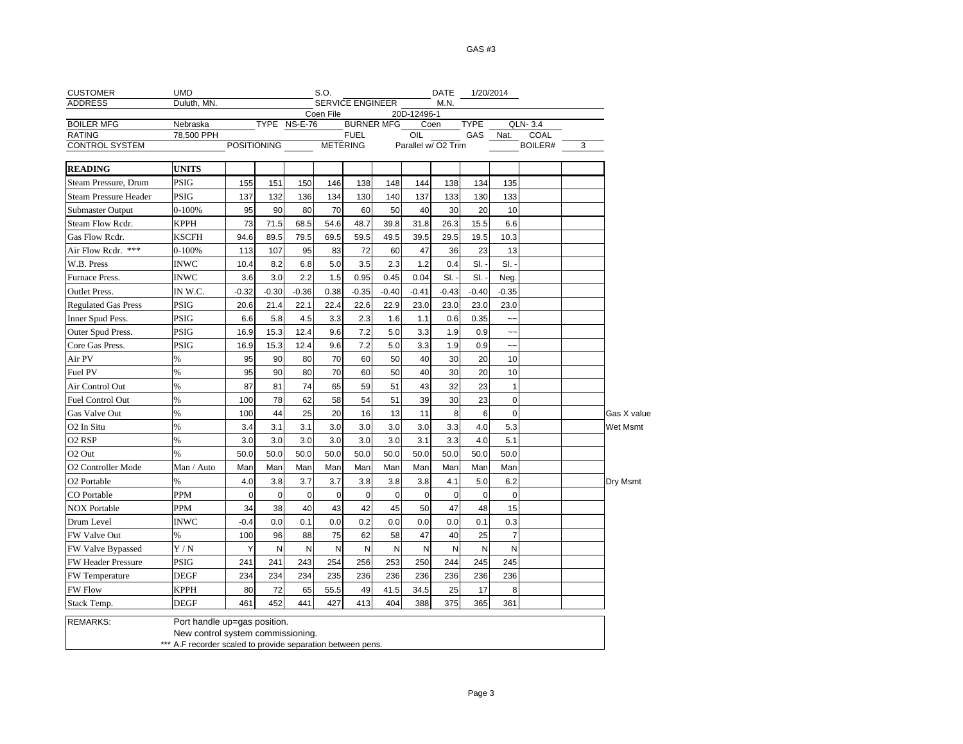GAS #3

| <b>CUSTOMER</b>              | <b>UMD</b>                                                  |                          |              |             | S.O.        |             |                   |                     |             | DATE 1/20/2014 |                |         |   |             |
|------------------------------|-------------------------------------------------------------|--------------------------|--------------|-------------|-------------|-------------|-------------------|---------------------|-------------|----------------|----------------|---------|---|-------------|
| <b>ADDRESS</b>               | Duluth, MN.                                                 | SERVICE ENGINEER<br>M.N. |              |             |             |             |                   |                     |             |                |                |         |   |             |
| <b>BOILER MFG</b>            | Nebraska                                                    |                          | TYPE NS-E-76 |             | Coen File   |             | <b>BURNER MFG</b> | 20D-12496-1<br>Coen |             | <b>TYPE</b>    |                | QLN-3.4 |   |             |
| <b>RATING</b>                | 78,500 PPH                                                  |                          |              |             |             | <b>FUEL</b> |                   | OIL                 |             | GAS            | Nat.           | COAL    |   |             |
| <b>CONTROL SYSTEM</b>        |                                                             | POSITIONING              |              |             |             | METERING    |                   | Parallel w/ O2 Trim |             |                |                | BOILER# | 3 |             |
| <b>READING</b>               | <b>UNITS</b>                                                |                          |              |             |             |             |                   |                     |             |                |                |         |   |             |
| Steam Pressure, Drum         | <b>PSIG</b>                                                 | 155                      | 151          | 150         | 146         | 138         | 148               | 144                 | 138         | 134            | 135            |         |   |             |
| <b>Steam Pressure Header</b> | <b>PSIG</b>                                                 | 137                      | 132          | 136         | 134         | 130         | 140               | 137                 | 133         | 130            | 133            |         |   |             |
| <b>Submaster Output</b>      | 0-100%                                                      | 95                       | 90           | 80          | 70          | 60          | 50                | 40                  | 30          | 20             | 10             |         |   |             |
| Steam Flow Rcdr.             | KPPH                                                        | 73                       | 71.5         | 68.5        | 54.6        | 48.7        | 39.8              | 31.8                | 26.3        | 15.5           | 6.6            |         |   |             |
| Gas Flow Redr.               | <b>KSCFH</b>                                                | 94.6                     | 89.5         | 79.5        | 69.5        | 59.5        | 49.5              | 39.5                | 29.5        | 19.5           | 10.3           |         |   |             |
| Air Flow Redr. ***           | 0-100%                                                      | 113                      | 107          | 95          | 83          | 72          | 60                | 47                  | 36          | 23             | 13             |         |   |             |
| W.B. Press                   | <b>INWC</b>                                                 | 10.4                     | 8.2          | 6.8         | 5.0         | 3.5         | 2.3               | 1.2                 | 0.4         | SI.            | SI.            |         |   |             |
| Furnace Press.               | <b>INWC</b>                                                 | 3.6                      | 3.0          | 2.2         | 1.5         | 0.95        | 0.45              | 0.04                | SI.         | SI.            | Neg.           |         |   |             |
| <b>Outlet Press.</b>         | IN W.C.                                                     | $-0.32$                  | $-0.30$      | $-0.36$     | 0.38        | $-0.35$     | $-0.40$           | $-0.41$             | $-0.43$     | $-0.40$        | $-0.35$        |         |   |             |
| <b>Regulated Gas Press</b>   | <b>PSIG</b>                                                 | 20.6                     | 21.4         | 22.1        | 22.4        | 22.6        | 22.9              | 23.0                | 23.0        | 23.0           | 23.0           |         |   |             |
| Inner Spud Pess.             | <b>PSIG</b>                                                 | 6.6                      | 5.8          | 4.5         | 3.3         | 2.3         | 1.6               | 1.1                 | 0.6         | 0.35           | ∼-             |         |   |             |
| Outer Spud Press.            | <b>PSIG</b>                                                 | 16.9                     | 15.3         | 12.4        | 9.6         | 7.2         | 5.0               | 3.3                 | 1.9         | 0.9            | $\sim$         |         |   |             |
| Core Gas Press.              | <b>PSIG</b>                                                 | 16.9                     | 15.3         | 12.4        | 9.6         | 7.2         | 5.0               | 3.3                 | 1.9         | 0.9            | $\sim$ $\sim$  |         |   |             |
| Air PV                       | %                                                           | 95                       | 90           | 80          | 70          | 60          | 50                | 40                  | 30          | 20             | 10             |         |   |             |
| Fuel PV                      | %                                                           | 95                       | 90           | 80          | 70          | 60          | 50                | 40                  | 30          | 20             | 10             |         |   |             |
| Air Control Out              | %                                                           | 87                       | 81           | 74          | 65          | 59          | 51                | 43                  | 32          | 23             | $\mathbf{1}$   |         |   |             |
| Fuel Control Out             | %                                                           | 100                      | 78           | 62          | 58          | 54          | 51                | 39                  | 30          | 23             | $\mathbf 0$    |         |   |             |
| Gas Valve Out                | $\%$                                                        | 100                      | 44           | 25          | 20          | 16          | 13                | 11                  | 8           | 6              | $\mathbf 0$    |         |   | Gas X value |
| O <sub>2</sub> In Situ       | $\frac{9}{6}$                                               | 3.4                      | 3.1          | 3.1         | 3.0         | 3.0         | 3.0               | 3.0                 | 3.3         | 4.0            | 5.3            |         |   | Wet Msmt    |
| O <sub>2</sub> RSP           | %                                                           | 3.0                      | 3.0          | 3.0         | 3.0         | 3.0         | 3.0               | 3.1                 | 3.3         | 4.0            | 5.1            |         |   |             |
| O <sub>2</sub> Out           | %                                                           | 50.0                     | 50.0         | 50.0        | 50.0        | 50.0        | 50.0              | 50.0                | 50.0        | 50.0           | 50.0           |         |   |             |
| O2 Controller Mode           | Man / Auto                                                  | Man                      | Man          | Man         | Man         | Man         | Man               | Man                 | Man         | Man            | Man            |         |   |             |
| O <sub>2</sub> Portable      | %                                                           | 4.0                      | 3.8          | 3.7         | 3.7         | 3.8         | 3.8               | 3.8                 | 4.1         | 5.0            | 6.2            |         |   | Dry Msmt    |
| CO Portable                  | <b>PPM</b>                                                  | $\mathbf 0$              | $\mathbf 0$  | $\mathbf 0$ | $\mathbf 0$ | $\mathbf 0$ | $\mathbf 0$       | $\mathbf 0$         | $\mathbf 0$ | $\mathbf 0$    | $\mathbf 0$    |         |   |             |
| <b>NOX Portable</b>          | PPM                                                         | 34                       | 38           | 40          | 43          | 42          | 45                | 50                  | 47          | 48             | 15             |         |   |             |
| Drum Level                   | <b>INWC</b>                                                 | $-0.4$                   | 0.0          | 0.1         | 0.0         | 0.2         | 0.0               | 0.0                 | 0.0         | 0.1            | 0.3            |         |   |             |
| FW Valve Out                 | %                                                           | 100                      | 96           | 88          | 75          | 62          | 58                | 47                  | 40          | 25             | $\overline{7}$ |         |   |             |
| FW Valve Bypassed            | Y/N                                                         | Y                        | N            | N           | N           | N           | N                 | N                   | N           | N              | N              |         |   |             |
| <b>FW Header Pressure</b>    | <b>PSIG</b>                                                 | 241                      | 241          | 243         | 254         | 256         | 253               | 250                 | 244         | 245            | 245            |         |   |             |
| FW Temperature               | <b>DEGF</b>                                                 | 234                      | 234          | 234         | 235         | 236         | 236               | 236                 | 236         | 236            | 236            |         |   |             |
| <b>FW Flow</b>               | <b>KPPH</b>                                                 | 80                       | 72           | 65          | 55.5        | 49          | 41.5              | 34.5                | 25          | 17             | 8              |         |   |             |
| Stack Temp.                  | <b>DEGF</b>                                                 | 461                      | 452          | 441         | 427         | 413         | 404               | 388                 | 375         | 365            | 361            |         |   |             |
| <b>REMARKS:</b>              | Port handle up=gas position.                                |                          |              |             |             |             |                   |                     |             |                |                |         |   |             |
|                              | New control system commissioning.                           |                          |              |             |             |             |                   |                     |             |                |                |         |   |             |
|                              | *** A.F recorder scaled to provide separation between pens. |                          |              |             |             |             |                   |                     |             |                |                |         |   |             |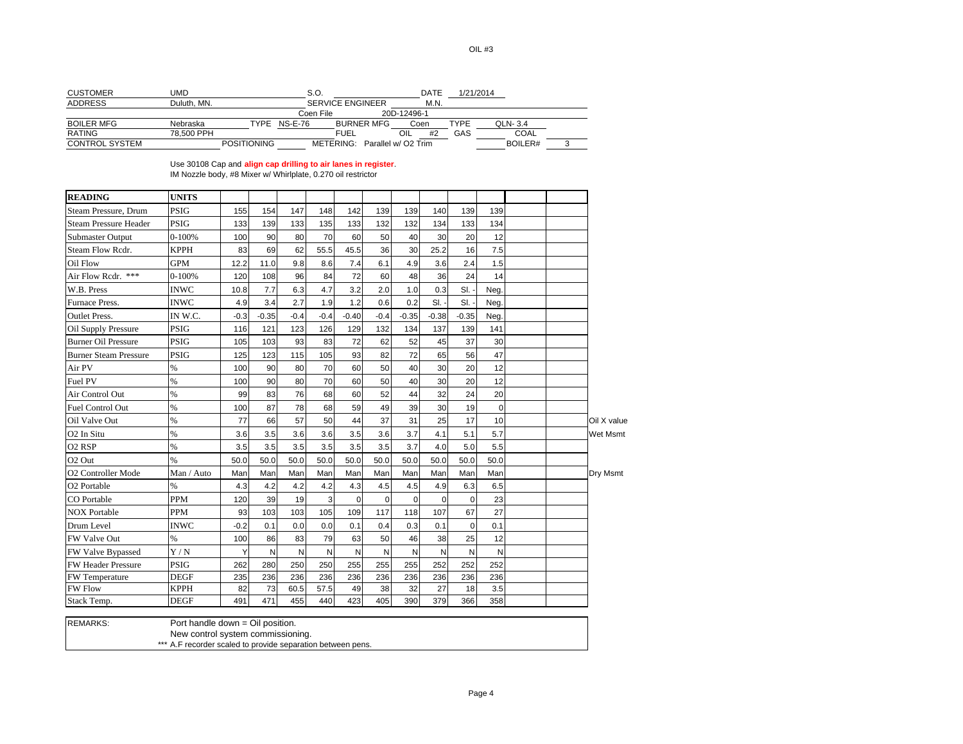| <b>CUSTOMER</b>   | JMD         |                    | S.O.      |                         |                     | DATE | 1/21/2014   |                |  |
|-------------------|-------------|--------------------|-----------|-------------------------|---------------------|------|-------------|----------------|--|
| <b>ADDRESS</b>    | Duluth, MN. |                    |           | <b>SERVICE ENGINEER</b> |                     | M.N. |             |                |  |
|                   |             |                    | Coen File |                         | 20D-12496-1         |      |             |                |  |
| <b>BOILER MFG</b> | Nebraska    | TYPF               | NS-E-76   | <b>BURNER MFG</b>       | Coen                |      | <b>TYPE</b> | <b>QLN-3.4</b> |  |
| <b>RATING</b>     | 78.500 PPH  |                    |           | <b>FUEL</b>             | OIL                 | #2   | GAS         | COAL           |  |
| CONTROL SYSTEM    |             | <b>POSITIONING</b> |           | METERING:               | Parallel w/ O2 Trim |      |             | BOILER#        |  |

Use 30108 Cap and **align cap drilling to air lanes in register**. IM Nozzle body, #8 Mixer w/ Whirlplate, 0.270 oil restrictor

| <b>READING</b>               | <b>UNITS</b>                   |        |              |        |        |             |              |             |             |         |             |  |                 |
|------------------------------|--------------------------------|--------|--------------|--------|--------|-------------|--------------|-------------|-------------|---------|-------------|--|-----------------|
| Steam Pressure, Drum         | <b>PSIG</b>                    | 155    | 154          | 147    | 148    | 142         | 139          | 139         | 140         | 139     | 139         |  |                 |
| <b>Steam Pressure Header</b> | <b>PSIG</b>                    | 133    | 139          | 133    | 135    | 133         | 132          | 132         | 134         | 133     | 134         |  |                 |
| Submaster Output             | $0 - 100%$                     | 100    | 90           | 80     | 70     | 60          | 50           | 40          | 30          | 20      | 12          |  |                 |
| Steam Flow Rcdr.             | <b>KPPH</b>                    | 83     | 69           | 62     | 55.5   | 45.5        | 36           | 30          | 25.2        | 16      | 7.5         |  |                 |
| Oil Flow                     | <b>GPM</b>                     | 12.2   | 11.0         | 9.8    | 8.6    | 7.4         | 6.1          | 4.9         | 3.6         | 2.4     | 1.5         |  |                 |
| Air Flow Redr. ***           | $0 - 100%$                     | 120    | 108          | 96     | 84     | 72          | 60           | 48          | 36          | 24      | 14          |  |                 |
| W.B. Press                   | <b>INWC</b>                    | 10.8   | 7.7          | 6.3    | 4.7    | 3.2         | 2.0          | 1.0         | 0.3         | SI.     | Neg.        |  |                 |
| Furnace Press.               | <b>INWC</b>                    | 4.9    | 3.4          | 2.7    | 1.9    | 1.2         | 0.6          | 0.2         | SI.         | SI.     | Neg.        |  |                 |
| <b>Outlet Press.</b>         | IN W.C.                        | $-0.3$ | $-0.35$      | $-0.4$ | $-0.4$ | $-0.40$     | $-0.4$       | $-0.35$     | $-0.38$     | $-0.35$ | Neg.        |  |                 |
| <b>Oil Supply Pressure</b>   | <b>PSIG</b>                    | 116    | 121          | 123    | 126    | 129         | 132          | 134         | 137         | 139     | 141         |  |                 |
| <b>Burner Oil Pressure</b>   | <b>PSIG</b>                    | 105    | 103          | 93     | 83     | 72          | 62           | 52          | 45          | 37      | 30          |  |                 |
| <b>Burner Steam Pressure</b> | <b>PSIG</b>                    | 125    | 123          | 115    | 105    | 93          | 82           | 72          | 65          | 56      | 47          |  |                 |
| Air PV                       | $\%$                           | 100    | 90           | 80     | 70     | 60          | 50           | 40          | 30          | 20      | 12          |  |                 |
| Fuel PV                      | $\%$                           | 100    | 90           | 80     | 70     | 60          | 50           | 40          | 30          | 20      | 12          |  |                 |
| Air Control Out              | $\%$                           | 99     | 83           | 76     | 68     | 60          | 52           | 44          | 32          | 24      | 20          |  |                 |
| <b>Fuel Control Out</b>      | $\%$                           | 100    | 87           | 78     | 68     | 59          | 49           | 39          | 30          | 19      | $\mathbf 0$ |  |                 |
| Oil Valve Out                | $\%$                           | 77     | 66           | 57     | 50     | 44          | 37           | 31          | 25          | 17      | 10          |  | Oil X value     |
| O <sub>2</sub> In Situ       | $\%$                           | 3.6    | 3.5          | 3.6    | 3.6    | 3.5         | 3.6          | 3.7         | 4.1         | 5.1     | 5.7         |  | <b>Wet Msmt</b> |
| O <sub>2</sub> RSP           | %                              | 3.5    | 3.5          | 3.5    | 3.5    | 3.5         | 3.5          | 3.7         | 4.0         | 5.0     | 5.5         |  |                 |
| O <sub>2</sub> Out           | $\%$                           | 50.0   | 50.0         | 50.0   | 50.0   | 50.0        | 50.0         | 50.0        | 50.0        | 50.0    | 50.0        |  |                 |
| O2 Controller Mode           | Man / Auto                     | Man    | Man          | Man    | Man    | Man         | Man          | Man         | Man         | Man     | Man         |  | Dry Msmt        |
| O2 Portable                  | $\%$                           | 4.3    | 4.2          | 4.2    | 4.2    | 4.3         | 4.5          | 4.5         | 4.9         | 6.3     | 6.5         |  |                 |
| CO Portable                  | <b>PPM</b>                     | 120    | 39           | 19     | 3      | $\mathbf 0$ | $\mathbf{0}$ | $\mathbf 0$ | $\mathbf 0$ | 0       | 23          |  |                 |
| <b>NOX Portable</b>          | <b>PPM</b>                     | 93     | 103          | 103    | 105    | 109         | 117          | 118         | 107         | 67      | 27          |  |                 |
| Drum Level                   | <b>INWC</b>                    | $-0.2$ | 0.1          | 0.0    | 0.0    | 0.1         | 0.4          | 0.3         | 0.1         | 0       | 0.1         |  |                 |
| FW Valve Out                 | $\%$                           | 100    | 86           | 83     | 79     | 63          | 50           | 46          | 38          | 25      | 12          |  |                 |
| <b>FW Valve Bypassed</b>     | Y/N                            | Y      | $\mathsf{N}$ | N      | N      | N           | $\mathsf{N}$ | N           | N           | N       | N           |  |                 |
| <b>FW Header Pressure</b>    | <b>PSIG</b>                    | 262    | 280          | 250    | 250    | 255         | 255          | 255         | 252         | 252     | 252         |  |                 |
| <b>FW</b> Temperature        | <b>DEGF</b>                    | 235    | 236          | 236    | 236    | 236         | 236          | 236         | 236         | 236     | 236         |  |                 |
| <b>FW Flow</b>               | <b>KPPH</b>                    | 82     | 73           | 60.5   | 57.5   | 49          | 38           | 32          | 27          | 18      | 3.5         |  |                 |
| Stack Temp.                  | <b>DEGF</b>                    | 491    | 471          | 455    | 440    | 423         | 405          | 390         | 379         | 366     | 358         |  |                 |
| DEMADIZO.                    | Dort hondle doure Oil nooition |        |              |        |        |             |              |             |             |         |             |  |                 |

REMARKS: Port handle down = Oil position. New control system commissioning. \*\*\* A.F recorder scaled to provide separation between pens.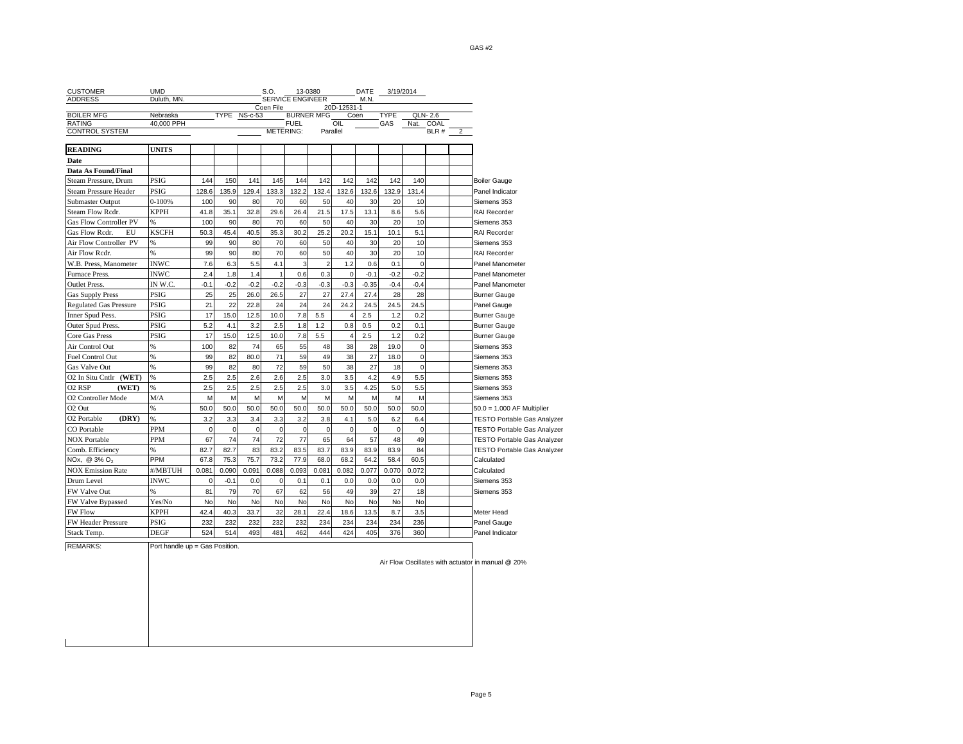| <b>CUSTOMER</b>                           | <b>UMD</b>                     |             |             |              | S.O.           |                         | 13-0380           |             | DATE        |             | 3/19/2014        |           |   |                                                   |
|-------------------------------------------|--------------------------------|-------------|-------------|--------------|----------------|-------------------------|-------------------|-------------|-------------|-------------|------------------|-----------|---|---------------------------------------------------|
| <b>ADDRESS</b>                            | Duluth, MN.                    |             |             |              |                | <b>SERVICE ENGINEER</b> |                   |             | M.N.        |             |                  |           |   |                                                   |
| <b>BOILER MFG</b>                         | Nebraska                       |             |             | TYPE NS-c-53 | Coen File      |                         | <b>BURNER MFG</b> | 20D-12531-1 | Coen        | <b>TYPE</b> |                  | QLN-2.6   |   |                                                   |
| <b>RATING</b>                             | 40,000 PPH                     |             |             |              |                | <b>FUEL</b>             |                   | OIL         |             | GAS         |                  | Nat. COAL |   |                                                   |
| <b>CONTROL SYSTEM</b>                     |                                |             |             |              |                | <b>METERING:</b>        |                   | Parallel    |             |             |                  | BLR #     | 2 |                                                   |
| <b>READING</b>                            | <b>UNITS</b>                   |             |             |              |                |                         |                   |             |             |             |                  |           |   |                                                   |
| Date                                      |                                |             |             |              |                |                         |                   |             |             |             |                  |           |   |                                                   |
| Data As Found/Final                       |                                |             |             |              |                |                         |                   |             |             |             |                  |           |   |                                                   |
| Steam Pressure, Drum                      | PSIG                           | 144         | 150         | 141          | 145            | 144                     | 142               | 142         | 142         | 142         | 140              |           |   | <b>Boiler Gauge</b>                               |
| Steam Pressure Header                     | <b>PSIG</b>                    | 128.6       | 135.9       | 129.4        | 133.3          | 132.2                   | 132.4             | 132.6       | 132.6       | 132.9       | 131.4            |           |   | Panel Indicator                                   |
| Submaster Output                          | $0 - 100%$                     | 100         | 90          | 80           | 70             | 60                      | 50                | 40          | 30          | 20          | 10               |           |   | Siemens 353                                       |
| Steam Flow Rcdr.                          | <b>KPPH</b>                    | 41.8        | 35.1        | 32.8         | 29.6           | 26.4                    | 21.5              | 17.5        | 13.1        | 8.6         | 5.6              |           |   | RAI Recorder                                      |
| Gas Flow Controller PV                    | %                              | 100         | 90          | 80           | 70             | 60                      | 50                | 40          | 30          | 20          | 10               |           |   | Siemens 353                                       |
| Gas Flow Redr.<br>EU                      | <b>KSCFH</b>                   | 50.3        | 45.4        | 40.5         | 35.3           | 30.2                    | 25.2              | 20.2        | 15.1        | 10.1        | 5.1              |           |   | RAI Recorder                                      |
| Air Flow Controller PV                    | %                              | 99          | 90          | 80           | 70             | 60                      | 50                | 40          | 30          | 20          | 10               |           |   | Siemens 353                                       |
| Air Flow Redr.                            | %                              | 99          | 90          | 80           | 70             | 60                      | 50                | 40          | 30          | 20          | 10               |           |   | <b>RAI Recorder</b>                               |
| W.B. Press, Manometer                     | <b>INWC</b>                    | 7.6         | 6.3         | 5.5          | 4.1            | 3                       | $\overline{c}$    | 1.2         | 0.6         | 0.1         | $\mathbf 0$      |           |   | Panel Manometer                                   |
| Furnace Press.                            | <b>INWC</b>                    | 2.4         | 1.8         | 1.4          | $\overline{1}$ | 0.6                     | 0.3               | 0           | $-0.1$      | $-0.2$      | $-0.2$           |           |   | Panel Manometer                                   |
| <b>Outlet Press.</b>                      | IN W.C.                        | $-0.1$      | $-0.2$      | $-0.2$       | $-0.2$         | $-0.3$                  | $-0.3$            | $-0.3$      | $-0.35$     | $-0.4$      | $-0.4$           |           |   | Panel Manometer                                   |
| <b>Gas Supply Press</b>                   | PSIG                           | 25          | 25          | 26.0         | 26.5           | 27                      | 27                | 27.4        | 27.4        | 28          | 28               |           |   | <b>Burner Gauge</b>                               |
| <b>Regulated Gas Pressure</b>             | PSIG                           | 21          | 22          | 22.8         | 24             | 24                      | 24                | 24.2        | 24.5        | 24.5        | 24.5             |           |   | Panel Gauge                                       |
| Inner Spud Pess.                          | PSIG                           | 17          | 15.0        | 12.5         | 10.0           | 7.8                     | 5.5               | 4           | 2.5         | 1.2         | 0.2              |           |   | <b>Burner Gauge</b>                               |
| Outer Spud Press.                         | PSIG                           | 5.2         | 4.1         | 3.2          | 2.5            | 1.8                     | 1.2               | 0.8         | 0.5         | 0.2         | 0.1              |           |   | <b>Burner Gauge</b>                               |
| Core Gas Press                            | PSIG                           | 17          | 15.0        | 12.5         | 10.0           | 7.8                     | 5.5               | 4           | 2.5         | 1.2         | 0.2              |           |   | <b>Burner Gauge</b>                               |
| Air Control Out                           | %                              | 100         | 82          | 74           | 65             | 55                      | 48                | 38          | 28          | 19.0        | $\mathbf 0$      |           |   | Siemens 353                                       |
|                                           |                                | 99          |             | 80.0         |                | 59                      | 49                | 38          |             |             | $\mathbf 0$      |           |   |                                                   |
| <b>Fuel Control Out</b>                   | %<br>%                         |             | 82          |              | 71             |                         |                   |             | 27          | 18.0        |                  |           |   | Siemens 353                                       |
| Gas Valve Out                             | %                              | 99<br>2.5   | 82<br>2.5   | 80<br>2.6    | 72<br>2.6      | 59<br>2.5               | 50<br>3.0         | 38<br>3.5   | 27<br>4.2   | 18<br>4.9   | $\pmb{0}$<br>5.5 |           |   | Siemens 353                                       |
| O2 In Situ Cntlr (WET)<br>(WET)<br>O2 RSP |                                |             |             |              |                |                         |                   |             | 4.25        | 5.0         |                  |           |   | Siemens 353                                       |
|                                           | %                              | 2.5         | 2.5         | 2.5          | 2.5            | 2.5                     | 3.0               | 3.5         |             |             | 5.5              |           |   | Siemens 353                                       |
| <b>O2 Controller Mode</b>                 | M/A                            | M           | M           | M            | M              | M                       | M                 | M           | M<br>50.0   | M           | M                |           |   | Siemens 353                                       |
| O <sub>2</sub> Out<br>(DRY)               | %                              | 50.0        | 50.0        | 50.0         | 50.0           | 50.0                    | 50.0              | 50.0        |             | 50.0        | 50.0             |           |   | $50.0 = 1.000$ AF Multiplier                      |
| O2 Portable                               | $\%$                           | 3.2         | 3.3         | 3.4          | 3.3            | 3.2                     | 3.8               | 4.1         | 5.0         | 6.2         | 6.4              |           |   | <b>TESTO Portable Gas Analyzer</b>                |
| CO Portable                               | PPM                            | $\mathbf 0$ | $\mathbf 0$ | $\mathbf 0$  | $\mathbf 0$    | 0                       | $\mathbf 0$       | $\mathbf 0$ | $\mathbf 0$ | 0           | $\mathbf 0$      |           |   | <b>TESTO Portable Gas Analyzer</b>                |
| <b>NOX Portable</b>                       | <b>PPM</b>                     | 67          | 74          | 74           | 72             | 77                      | 65                | 64          | 57          | 48          | 49               |           |   | <b>TESTO Portable Gas Analyzer</b>                |
| Comb. Efficiency                          | %                              | 82.7        | 82.7        | 83           | 83.2           | 83.5                    | 83.7              | 83.9        | 83.9        | 83.9        | 84               |           |   | <b>TESTO Portable Gas Analyzer</b>                |
| NOx, @ $3\%$ O <sub>2</sub>               | PPM                            | 67.8        | 75.3        | 75.7         | 73.2           | 77.9                    | 68.0              | 68.2        | 64.2        | 58.4        | 60.5             |           |   | Calculated                                        |
| <b>NOX Emission Rate</b>                  | #/MBTUH                        | 0.081       | 0.090       | 0.091        | 0.088          | 0.093                   | 0.081             | 0.082       | 0.077       | 0.070       | 0.072            |           |   | Calculated                                        |
| Drum Level                                | <b>INWC</b>                    | $\bf 0$     | $-0.1$      | 0.0          | 0              | 0.1                     | 0.1               | 0.0         | 0.0         | 0.0         | 0.0              |           |   | Siemens 353                                       |
| FW Valve Out                              | %                              | 81          | 79          | 70           | 67             | 62                      | 56                | 49          | 39          | 27          | 18               |           |   | Siemens 353                                       |
| FW Valve Bypassed                         | Yes/No                         | No          | No          | No           | No             | No                      | No                | <b>No</b>   | No          | No          | No               |           |   |                                                   |
| <b>FW Flow</b>                            | <b>KPPH</b>                    | 42.4        | 40.3        | 33.7         | 32             | 28.1                    | 22.4              | 18.6        | 13.5        | 8.7         | 3.5              |           |   | Meter Head                                        |
| FW Header Pressure                        | <b>PSIG</b>                    | 232         | 232         | 232          | 232            | 232                     | 234               | 234         | 234         | 234         | 236              |           |   | Panel Gauge                                       |
| Stack Temp.                               | <b>DEGF</b>                    | 524         | 514         | 493          | 481            | 462                     | 444               | 424         | 405         | 376         | 360              |           |   | Panel Indicator                                   |
| <b>REMARKS:</b>                           | Port handle up = Gas Position. |             |             |              |                |                         |                   |             |             |             |                  |           |   |                                                   |
|                                           |                                |             |             |              |                |                         |                   |             |             |             |                  |           |   | Air Flow Oscillates with actuator in manual @ 20% |
|                                           |                                |             |             |              |                |                         |                   |             |             |             |                  |           |   |                                                   |
|                                           |                                |             |             |              |                |                         |                   |             |             |             |                  |           |   |                                                   |

Page 5